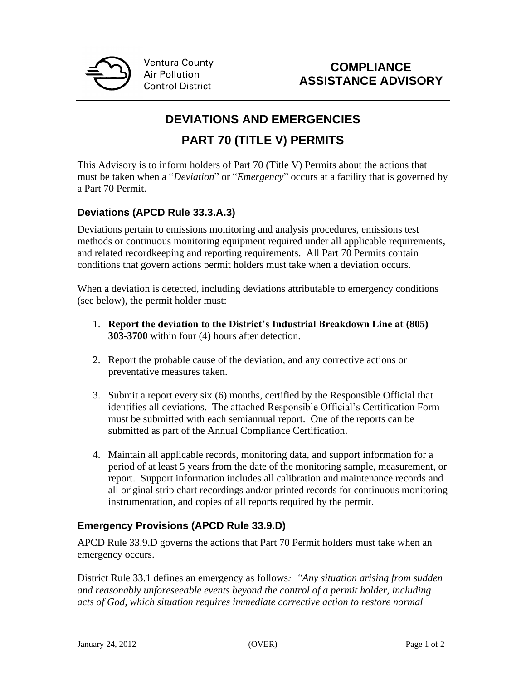

## **COMPLIANCE ASSISTANCE ADVISORY**

# **DEVIATIONS AND EMERGENCIES**

## **PART 70 (TITLE V) PERMITS**

This Advisory is to inform holders of Part 70 (Title V) Permits about the actions that must be taken when a "*Deviation*" or "*Emergency*" occurs at a facility that is governed by a Part 70 Permit.

### **Deviations (APCD Rule 33.3.A.3)**

Deviations pertain to emissions monitoring and analysis procedures, emissions test methods or continuous monitoring equipment required under all applicable requirements, and related recordkeeping and reporting requirements. All Part 70 Permits contain conditions that govern actions permit holders must take when a deviation occurs.

When a deviation is detected, including deviations attributable to emergency conditions (see below), the permit holder must:

- 1. **Report the deviation to the District's Industrial Breakdown Line at (805) 303-3700** within four (4) hours after detection.
- 2. Report the probable cause of the deviation, and any corrective actions or preventative measures taken.
- 3. Submit a report every six (6) months, certified by the Responsible Official that identifies all deviations. The attached Responsible Official's Certification Form must be submitted with each semiannual report. One of the reports can be submitted as part of the Annual Compliance Certification.
- 4. Maintain all applicable records, monitoring data, and support information for a period of at least 5 years from the date of the monitoring sample, measurement, or report. Support information includes all calibration and maintenance records and all original strip chart recordings and/or printed records for continuous monitoring instrumentation, and copies of all reports required by the permit.

#### **Emergency Provisions (APCD Rule 33.9.D)**

APCD Rule 33.9.D governs the actions that Part 70 Permit holders must take when an emergency occurs.

District Rule 33.1 defines an emergency as follows*: "Any situation arising from sudden and reasonably unforeseeable events beyond the control of a permit holder, including acts of God, which situation requires immediate corrective action to restore normal*